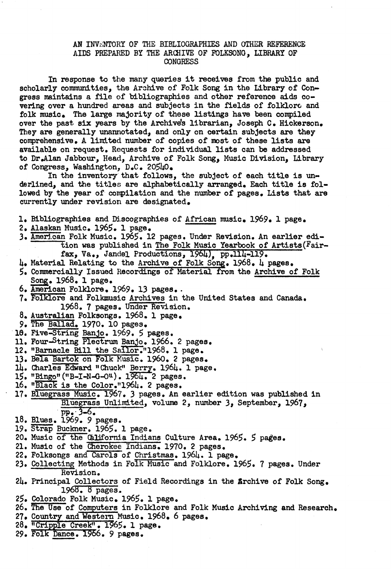## AN INVLNTORY OF THE BIBLIOGRAPHIES **AND OTHER** REFERENCE **AIDS PREPARED** BY **THE** ARCIIIVE OF FOLKSONG, **LIBRARY** OF **CONGRESS**

In response to the many queries it receives from the public and scholarly communities, the Archive of Folk Song in the Library of Congress maintains a file of bibliographies and other reference aids covering over a hundred areas and subjects in the fields of folklorc and folk music, The large majority of these listings have been compiled over the past six years by the Archive's librarian, Joseph C. Hickerson, They are generally unannotated, and only on certain subjects are they comprehensive. A limited number of copies of most of these lists are available on request. Requests for individual lists can be addressed to Dr.Alan Jabbour, Head, Archive of Folk Song, Music Division, Library of Congress, Washington, **D.C.** 20SbO.

In the inventory that follows, the subject of each title is underlined, and the titles are alphabetically **arranged,** Each title is followed by the year of compilation and the number of pages. Lists that are currently under revision are designated.

1. Bibliographies and Discographies of African music. 1969, 1 page,

- 2. Alaskan Music. 1965. **1** page. **3.** Amerj-can Folk Music. **1965.** 12 pages. Under Revision. An earlier **edi-**  'tion was published in The Folk Music Yearbook of Artists(Fairfax, Va., Jandel Productions, 1964). pp ,114-119.
- 4. Material Relating to the Archive of Folk Song. 1968. 4 pages.
- **5.** Commercially Issued Recordings of Material from the Archive of Folk
- 
- *Song.* 1968. 1 page. *6.* American Folklore, 1969. 13 pages. . 7. **p-** and Folkmusic Archives in the United States and Canada. 1968. 7 pages. Under Revision.
- 8. Australian Folksongs. 1968. 1 page.
- 9. The Ballad. 1970. 10 pages.
- 1969. *5* pages.
- Banjo. 1966. 2 pages.
- 12. "Barnacle Bill the Sailor."1968. 1 page.
- 13. Bela Bartok on Folk Music. 1960. 2 pages.
- Bela Bartok on Folk Music. 1960. 2 page.<br>Charles Edward "Chuck" Berry. 1964. 1 page. Charles Edward "Chuck" Berry. 1964. I<br>"Bingo" ("B-I-N-G-O<sup>u</sup>). 1964. 2 pages.<br>"Black is the Color."1964. 2 pages.
- 
- 
- Bluegrass Music. 1967, **3** pages. An earlier edition was published in Bluegrass Unlimited, volum 2, number **3,** September, 1967, **ppc** *3-6.*
- Blues. **1969.** 9 pages.
- Bucher. 1965. **1** page.
- Music afthelifornia Indians Culture Area. 1965. **5** pages.
- 21. Music of the Cherokee Indians. 1970. 2 pages.
- Folksongs and Carols of Christmas. 1964. 1 page,
- 23. Collecting Methods in Folk Music and Folklore. 1965. 7 pages. Under<br> **24. Principal Collectors of Field Recordings in the Archive of Folk Song.**<br>
24. Principal Collectors of Field Recordings in the Archive of Folk Song Revision.<br>24. Principal Collectors of Field Recordings in the firchive of Folk Song.
- 1968. 8 pages.
- 25. Colorado Folk Music. 1965. 1 page.
- 26. The Use of Computers in Folklore and Folk Music Archiving and Research.
- 27. Country and Western Music. 1968. 6 pages.
- 28. **"Cripple Creek"**. 1965. 1 page.
- **29. Folk Dance. 1966.** 9 pages.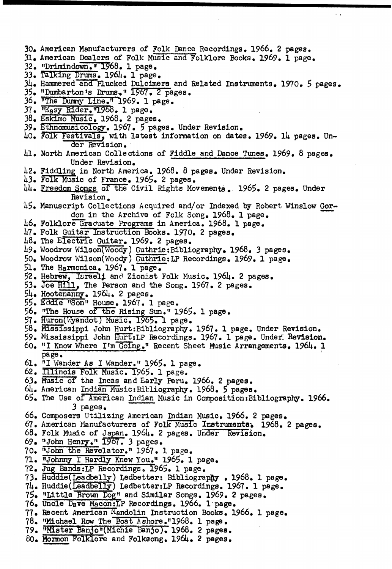30. American Manufacturers of Folk Dance Recordings. 1966. 2 pages. 31. American Dealers of Folk Music and Folklore Books. 1969. 1 page. 32. "Drimindown." 1968. 1 page. 33. Talking Drums. 1964. 1 page. 34. Hammered and Plucked Dulcimers and Related Instruments. 1970. 5 pages. 35. "Dumbarton's Drums." 1967. 2 pages. 36. Whe Dummy Line." 1969. 1 page. 37. Wasy Rider. 1968. 1 page. 38. Eskimo Music. 1968. 2 pages. 39. Ethnomusicology. 1967. 5 pages. Under Revision. 40. Folk Festivals, with latest information on dates. 1969. 14 pages. Under Revision. 41. North American Collections of Fiddle and Dance Tunes. 1969. 8 pages. Under Revision. 42. Fiddling in North America. 1968. 8 pages. Under Revision. 43. Folk Music of France. 1965. 2 pages. 44. Freedom Songs of the Civil Rights Movements. 1965. 2 pages. Under Revision. 45. Manuscript Collections Acquired and/or Indexed by Robert Winslow Gordon in the Archive of Folk Song. 1968. 1 page. 46. Folklore Graduate Programs in America. 1968. 1 page. 47. Folk Guitar Instruction Books. 1970. 2 pages. 48. The Electric Guitar. 1969. 2 pages. 49. Woodrow Wilson(Woody) Guthrie: Bibliography. 1968. 3 pages. 50. Woodrow Wilson(Woody) Guthrie: LP Recordings. 1969. 1 page. 51. The Harmonica. 1967. 1 page. 52. Hebrew, Israeli and Zionist Folk Music. 1964. 2 pages.<br>53. Joe Hill, The Person and the Song. 1967. 2 pages.  $54.$  Hootenanny. 1964. 2 pages. 55. Eddie "Son" House. 1967. 1 page. 56. "The House of the Rising Sun." 1965. 1 page. 57. Huron(Wyandot) Music. 1965. 1 page. 58. Mississippi John Hurt: Bibliography. 1967. 1 page. Under Revision. 59. Mississippi John Hurt: LP Recordings. 1967. 1 page. Under Revision. 60. "I Know Where I'm Going." Recent Sheet Music Arrangements. 1964. 1 page. 61. "I Wander As I Wander." 1965. 1 page. 62. Illinois Folk Music. 1965. 1 page. 63. Music of the Incas and Early Peru. 1966. 2 pages. 64. American Indian Music: Bibliography. 1968. 5 pages. 65. The Use of American Indian Music in Composition: Bibliography. 1966. 3 pages. 66. Composers Utilizing American Indian Music. 1966. 2 pages. 67. American Manufacturers of Folk Music Instruments. 1968. 2 pages. 68. Folk Music of Japan. 1964. 2 pages. Under Revision. 69. "John Henry." 1967. 3 pages. 70. "John the Revelator." 1967. 1 page. 71. WJohnny I Hardly Knew You." 1965. 1 page. 72. Jug Bands: LP Recordings, 1965. 1 page. 73. Huddie(Leadbelly) Ledbetter: Bibliography . 1968. 1 page. 74. Huddie(Leadbelly) Ledbetter: LP Recordings. 1967. 1 page. 75. "Little Brown Dog" and Similar Songs. 1969. 2 pages. 76. Uncle Dave Macon:LP Recordings. 1966. 1 page. 77. Recent American Mandolin Instruction Books. 1966. 1 page. 78. "Michael Row The Boat Ashore."1968. 1 page. 79. Wister Banjo"(Michie Banjo). 1968. 2 pages. 80. Mormon Folklore and Folksong. 1964. 2 pages.

 $\ddotsc$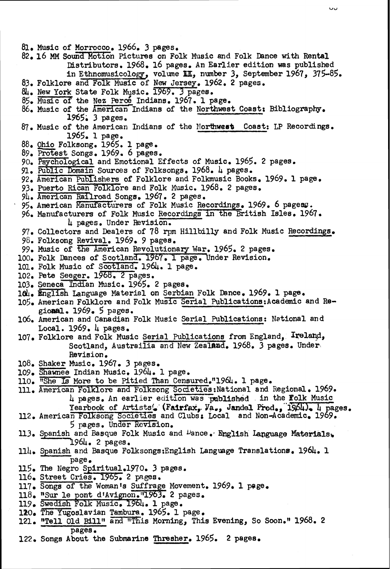81. Music of Morrocco. 1966. 3 pages. 82. 16 MM Sound Motion Pictures on Folk Music and Folk Dance with Rental Distributors. 1968. 16 pages. An Earlier edition was published in Ethnomusicology, volume II, number 3, September 1967, 375-85.<br>83. Folklore and Folk Music of New Jersey. 1962. 2 pages.<br>84. New York State Folk Music. 1969. 3 pages. 85. Music of the Nez Perce Indians. 1967. 1 page. 86. Music of the American Indians of the Northwest Coast: Bibliography. 1965. 3 pages. 87. Music of the American Indians of the Northwest Coast: LP Recordings. 1965. 1 page. 88. Ohio Folksong. 1965. 1 page. 89. Protest Songs. 1969. 6 pages. 90. Psychological and Emotional Effects of Music. 1965. 2 pages. 91. Public Domain Sources of Folksongs. 1968. 4 pages. 92. American Publishers of Folklore and Folkmusic Books. 1969. 1 page. 93. Puerto Rican Folklore and Folk Music. 1968. 2 pages. 94. American Railroad Songs. 1967. 2 pages.<br>95. American Manufacturers of Folk Music Recordings. 1969. 6 pages: 96. Manufacturers of Folk Music Recordings in the British Isles. 1967. 4 pages. Under Revision. 97. Collectors and Dealers of 78 rpm Hillbilly and Folk Music Recordings. 98. Folksong Revival. 1969. 9 pages. 99. Music of the American Revolutionary War. 1965. 2 pages. 100. Folk Dances of Scotland. 1967. I page. Under Revision. 101. Folk Music of Scotland. 1964. 1 page. 102. Pete Seeger. 1968. 2 pages. 103. Seneca Indian Music. 1965. 2 pages. 10. English Language Material on Serbian Folk Dance. 1969. 1 page. 105. American Folklore and Folk Music Serial Publications: Academic and Regional. 1969. 5 pages. 106. American and Canadian Folk Music Serial Publications: National and Local.  $1969.$  4 pages. 107. Folklore and Folk Music Serial Publications from England, Ireland, Scotland, Austrailia and New Zealand. 1968. 3 pages. Under Revision. 108. Shaker Music. 1967. 3 pages.<br>109. Shawnee Indian Music. 1964. 1 page. 110. "She Is More to be Pitied Than Censured."1964. 1 page. 111. American Folklore and Folksong Societies: National and Regional. 1969. 4 pages. An earlier edition was published in the Folk Music Yearbook of Artists. (Fairfax, Va., Jandel Prod., 1964). 4 pages. 112. American Folksong Societies and Clubs: Local and Non-Academic. 1969. 5 pages. Under Revision. 113. Spanish and Basque Folk Music and Dance. English Language Materials.  $1964.2$  pages. 114. Spanish and Basque Folksongs: English Language Translations. 1964. 1 page. 115. The Negro Spiritual.1970. 3 pages. 116. Street Cries. 1965. 2 pages. 117. Songs of the Woman's Suffrage Movement. 1969. 1 page. 118. "Sur le pont d'Avignon. "1963. 2 pages. 119. Swedish Folk Music. 1964. 1 page. 120. The Yugoslavian Tambura. 1965. 1 page. 121. "Tell Old Bill" and "This Morning, This Evening, So Soon." 1968. 2 pages. 122. Songs About the Submarine Thresher. 1965. 2 pages.